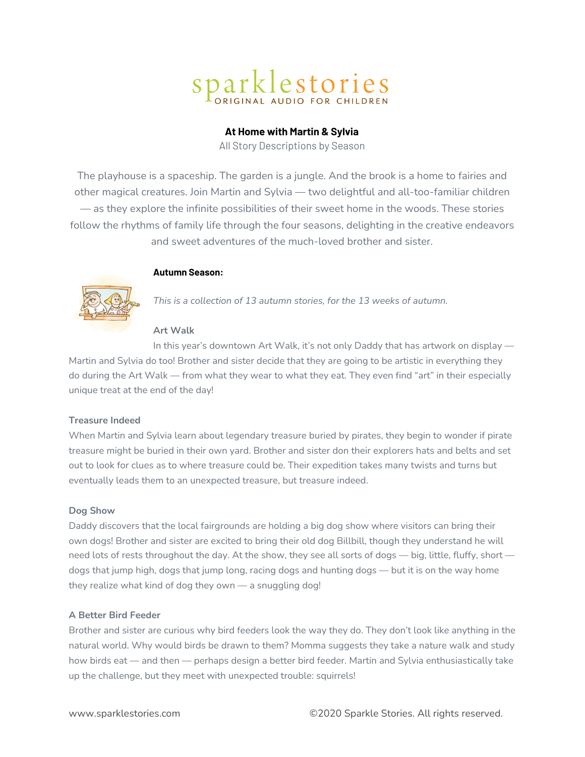# Sparklestories

# **At Home with Martin & Sylvia**

All Story Descriptions by Season

The playhouse is a spaceship. The garden is a jungle. And the brook is a home to fairies and other magical creatures. Join Martin and Sylvia — two delightful and all-too-familiar children — as they explore the infinite possibilities of their sweet home in the woods. These stories follow the rhythms of family life through the four seasons, delighting in the creative endeavors and sweet adventures of the much-loved brother and sister.

# **Autumn Season:**



*This is a collection of 13 autumn stories, for the 13 weeks of autumn.*

# **Art Walk**

In this year's downtown Art Walk, it's not only Daddy that has artwork on display — Martin and Sylvia do too! Brother and sister decide that they are going to be artistic in everything they do during the Art Walk — from what they wear to what they eat. They even find "art" in their especially unique treat at the end of the day!

# **Treasure Indeed**

When Martin and Sylvia learn about legendary treasure buried by pirates, they begin to wonder if pirate treasure might be buried in their own yard. Brother and sister don their explorers hats and belts and set out to look for clues as to where treasure could be. Their expedition takes many twists and turns but eventually leads them to an unexpected treasure, but treasure indeed.

## **Dog Show**

Daddy discovers that the local fairgrounds are holding a big dog show where visitors can bring their own dogs! Brother and sister are excited to bring their old dog Billbill, though they understand he will need lots of rests throughout the day. At the show, they see all sorts of dogs — big, little, fluffy, short dogs that jump high, dogs that jump long, racing dogs and hunting dogs — but it is on the way home they realize what kind of dog they own — a snuggling dog!

## **A Better Bird Feeder**

Brother and sister are curious why bird feeders look the way they do. They don't look like anything in the natural world. Why would birds be drawn to them? Momma suggests they take a nature walk and study how birds eat — and then — perhaps design a better bird feeder. Martin and Sylvia enthusiastically take up the challenge, but they meet with unexpected trouble: squirrels!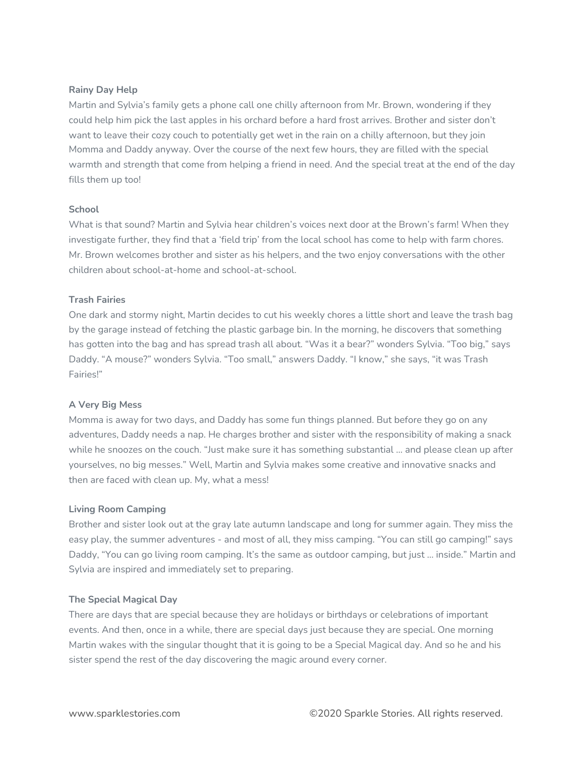# **Rainy Day Help**

Martin and Sylvia's family gets a phone call one chilly afternoon from Mr. Brown, wondering if they could help him pick the last apples in his orchard before a hard frost arrives. Brother and sister don't want to leave their cozy couch to potentially get wet in the rain on a chilly afternoon, but they join Momma and Daddy anyway. Over the course of the next few hours, they are filled with the special warmth and strength that come from helping a friend in need. And the special treat at the end of the day fills them up too!

# **School**

What is that sound? Martin and Sylvia hear children's voices next door at the Brown's farm! When they investigate further, they find that a 'field trip' from the local school has come to help with farm chores. Mr. Brown welcomes brother and sister as his helpers, and the two enjoy conversations with the other children about school-at-home and school-at-school.

# **Trash Fairies**

One dark and stormy night, Martin decides to cut his weekly chores a little short and leave the trash bag by the garage instead of fetching the plastic garbage bin. In the morning, he discovers that something has gotten into the bag and has spread trash all about. "Was it a bear?" wonders Sylvia. "Too big," says Daddy. "A mouse?" wonders Sylvia. "Too small," answers Daddy. "I know," she says, "it was Trash Fairies!"

## **A Very Big Mess**

Momma is away for two days, and Daddy has some fun things planned. But before they go on any adventures, Daddy needs a nap. He charges brother and sister with the responsibility of making a snack while he snoozes on the couch. "Just make sure it has something substantial … and please clean up after yourselves, no big messes." Well, Martin and Sylvia makes some creative and innovative snacks and then are faced with clean up. My, what a mess!

## **Living Room Camping**

Brother and sister look out at the gray late autumn landscape and long for summer again. They miss the easy play, the summer adventures - and most of all, they miss camping. "You can still go camping!" says Daddy, "You can go living room camping. It's the same as outdoor camping, but just … inside." Martin and Sylvia are inspired and immediately set to preparing.

## **The Special Magical Day**

There are days that are special because they are holidays or birthdays or celebrations of important events. And then, once in a while, there are special days just because they are special. One morning Martin wakes with the singular thought that it is going to be a Special Magical day. And so he and his sister spend the rest of the day discovering the magic around every corner.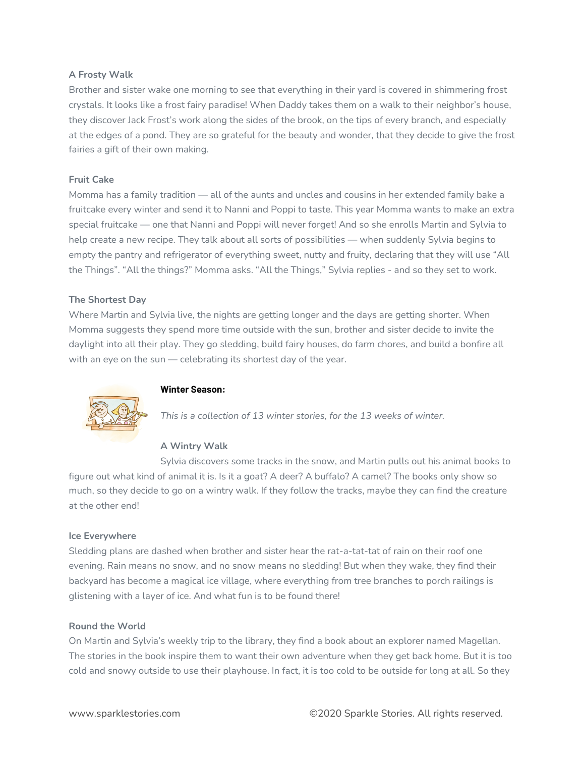# **A Frosty Walk**

Brother and sister wake one morning to see that everything in their yard is covered in shimmering frost crystals. It looks like a frost fairy paradise! When Daddy takes them on a walk to their neighbor's house, they discover Jack Frost's work along the sides of the brook, on the tips of every branch, and especially at the edges of a pond. They are so grateful for the beauty and wonder, that they decide to give the frost fairies a gift of their own making.

# **Fruit Cake**

Momma has a family tradition — all of the aunts and uncles and cousins in her extended family bake a fruitcake every winter and send it to Nanni and Poppi to taste. This year Momma wants to make an extra special fruitcake — one that Nanni and Poppi will never forget! And so she enrolls Martin and Sylvia to help create a new recipe. They talk about all sorts of possibilities — when suddenly Sylvia begins to empty the pantry and refrigerator of everything sweet, nutty and fruity, declaring that they will use "All the Things". "All the things?" Momma asks. "All the Things," Sylvia replies - and so they set to work.

# **The Shortest Day**

Where Martin and Sylvia live, the nights are getting longer and the days are getting shorter. When Momma suggests they spend more time outside with the sun, brother and sister decide to invite the daylight into all their play. They go sledding, build fairy houses, do farm chores, and build a bonfire all with an eye on the sun – celebrating its shortest day of the year.



# **Winter Season:**

*This is a collection of 13 winter stories, for the 13 weeks of winter.*

# **A Wintry Walk**

Sylvia discovers some tracks in the snow, and Martin pulls out his animal books to figure out what kind of animal it is. Is it a goat? A deer? A buffalo? A camel? The books only show so much, so they decide to go on a wintry walk. If they follow the tracks, maybe they can find the creature at the other end!

## **Ice Everywhere**

Sledding plans are dashed when brother and sister hear the rat-a-tat-tat of rain on their roof one evening. Rain means no snow, and no snow means no sledding! But when they wake, they find their backyard has become a magical ice village, where everything from tree branches to porch railings is glistening with a layer of ice. And what fun is to be found there!

## **Round the World**

On Martin and Sylvia's weekly trip to the library, they find a book about an explorer named Magellan. The stories in the book inspire them to want their own adventure when they get back home. But it is too cold and snowy outside to use their playhouse. In fact, it is too cold to be outside for long at all. So they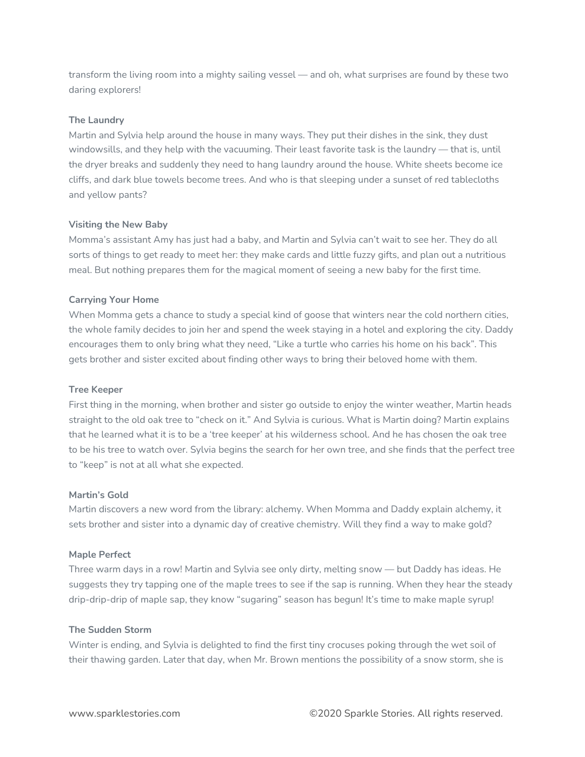transform the living room into a mighty sailing vessel — and oh, what surprises are found by these two daring explorers!

# **The Laundry**

Martin and Sylvia help around the house in many ways. They put their dishes in the sink, they dust windowsills, and they help with the vacuuming. Their least favorite task is the laundry — that is, until the dryer breaks and suddenly they need to hang laundry around the house. White sheets become ice cliffs, and dark blue towels become trees. And who is that sleeping under a sunset of red tablecloths and yellow pants?

## **Visiting the New Baby**

Momma's assistant Amy has just had a baby, and Martin and Sylvia can't wait to see her. They do all sorts of things to get ready to meet her: they make cards and little fuzzy gifts, and plan out a nutritious meal. But nothing prepares them for the magical moment of seeing a new baby for the first time.

## **Carrying Your Home**

When Momma gets a chance to study a special kind of goose that winters near the cold northern cities, the whole family decides to join her and spend the week staying in a hotel and exploring the city. Daddy encourages them to only bring what they need, "Like a turtle who carries his home on his back". This gets brother and sister excited about finding other ways to bring their beloved home with them.

## **Tree Keeper**

First thing in the morning, when brother and sister go outside to enjoy the winter weather, Martin heads straight to the old oak tree to "check on it." And Sylvia is curious. What is Martin doing? Martin explains that he learned what it is to be a 'tree keeper' at his wilderness school. And he has chosen the oak tree to be his tree to watch over. Sylvia begins the search for her own tree, and she finds that the perfect tree to "keep" is not at all what she expected.

#### **Martin's Gold**

Martin discovers a new word from the library: alchemy. When Momma and Daddy explain alchemy, it sets brother and sister into a dynamic day of creative chemistry. Will they find a way to make gold?

## **Maple Perfect**

Three warm days in a row! Martin and Sylvia see only dirty, melting snow — but Daddy has ideas. He suggests they try tapping one of the maple trees to see if the sap is running. When they hear the steady drip-drip-drip of maple sap, they know "sugaring" season has begun! It's time to make maple syrup!

#### **The Sudden Storm**

Winter is ending, and Sylvia is delighted to find the first tiny crocuses poking through the wet soil of their thawing garden. Later that day, when Mr. Brown mentions the possibility of a snow storm, she is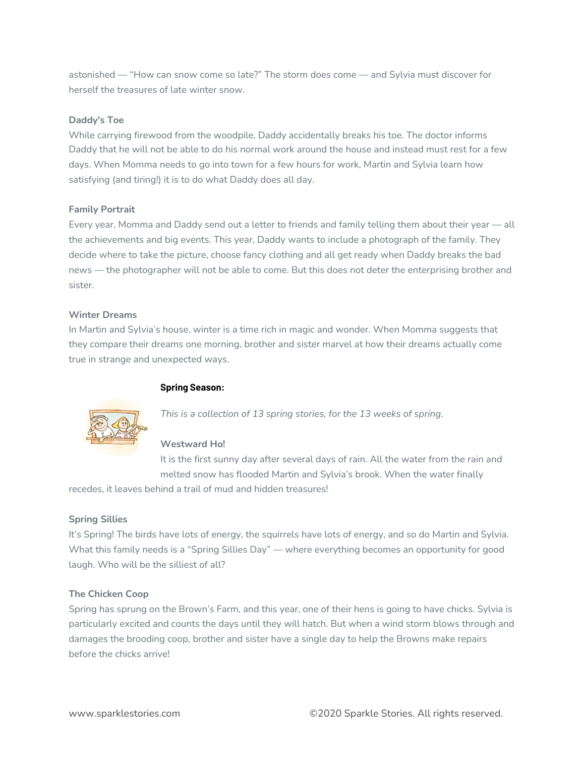astonished — "How can snow come so late?" The storm does come — and Sylvia must discover for herself the treasures of late winter snow.

# **Daddy's Toe**

While carrying firewood from the woodpile, Daddy accidentally breaks his toe. The doctor informs Daddy that he will not be able to do his normal work around the house and instead must rest for a few days. When Momma needs to go into town for a few hours for work, Martin and Sylvia learn how satisfying (and tiring!) it is to do what Daddy does all day.

# **Family Portrait**

Every year, Momma and Daddy send out a letter to friends and family telling them about their year — all the achievements and big events. This year, Daddy wants to include a photograph of the family. They decide where to take the picture, choose fancy clothing and all get ready when Daddy breaks the bad news — the photographer will not be able to come. But this does not deter the enterprising brother and sister.

# **Winter Dreams**

In Martin and Sylvia's house, winter is a time rich in magic and wonder. When Momma suggests that they compare their dreams one morning, brother and sister marvel at how their dreams actually come true in strange and unexpected ways.

# **Spring Season:**



*This is a collection of 13 spring stories, for the 13 weeks of spring.*

# **Westward Ho!**

It is the first sunny day after several days of rain. All the water from the rain and melted snow has flooded Martin and Sylvia's brook. When the water finally

recedes, it leaves behind a trail of mud and hidden treasures!

# **Spring Sillies**

It's Spring! The birds have lots of energy, the squirrels have lots of energy, and so do Martin and Sylvia. What this family needs is a "Spring Sillies Day" — where everything becomes an opportunity for good laugh. Who will be the silliest of all?

# **The Chicken Coop**

Spring has sprung on the Brown's Farm, and this year, one of their hens is going to have chicks. Sylvia is particularly excited and counts the days until they will hatch. But when a wind storm blows through and damages the brooding coop, brother and sister have a single day to help the Browns make repairs before the chicks arrive!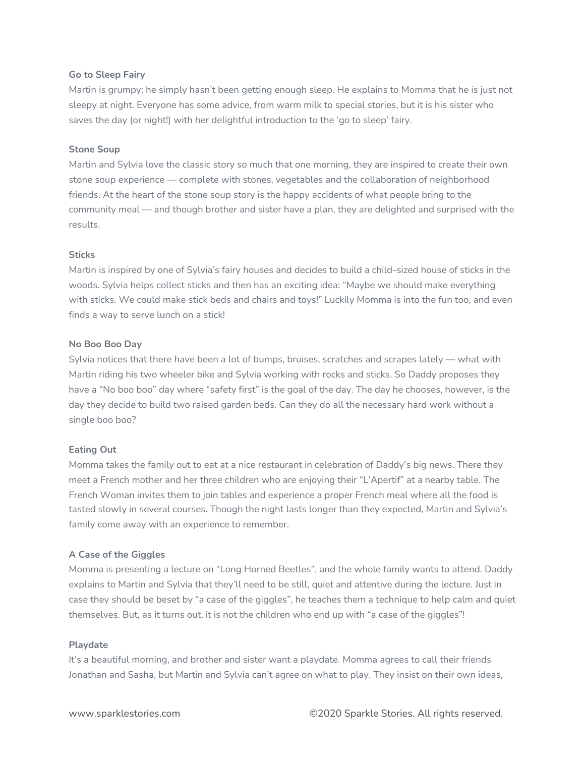## **Go to Sleep Fairy**

Martin is grumpy; he simply hasn't been getting enough sleep. He explains to Momma that he is just not sleepy at night. Everyone has some advice, from warm milk to special stories, but it is his sister who saves the day (or night!) with her delightful introduction to the 'go to sleep' fairy.

## **Stone Soup**

Martin and Sylvia love the classic story so much that one morning, they are inspired to create their own stone soup experience — complete with stones, vegetables and the collaboration of neighborhood friends. At the heart of the stone soup story is the happy accidents of what people bring to the community meal — and though brother and sister have a plan, they are delighted and surprised with the results.

#### **Sticks**

Martin is inspired by one of Sylvia's fairy houses and decides to build a child-sized house of sticks in the woods. Sylvia helps collect sticks and then has an exciting idea: "Maybe we should make everything with sticks. We could make stick beds and chairs and toys!" Luckily Momma is into the fun too, and even finds a way to serve lunch on a stick!

#### **No Boo Boo Day**

Sylvia notices that there have been a lot of bumps, bruises, scratches and scrapes lately — what with Martin riding his two wheeler bike and Sylvia working with rocks and sticks. So Daddy proposes they have a "No boo boo" day where "safety first" is the goal of the day. The day he chooses, however, is the day they decide to build two raised garden beds. Can they do all the necessary hard work without a single boo boo?

## **Eating Out**

Momma takes the family out to eat at a nice restaurant in celebration of Daddy's big news. There they meet a French mother and her three children who are enjoying their "L'Apertif" at a nearby table. The French Woman invites them to join tables and experience a proper French meal where all the food is tasted slowly in several courses. Though the night lasts longer than they expected, Martin and Sylvia's family come away with an experience to remember.

## **A Case of the Giggles**

Momma is presenting a lecture on "Long Horned Beetles", and the whole family wants to attend. Daddy explains to Martin and Sylvia that they'll need to be still, quiet and attentive during the lecture. Just in case they should be beset by "a case of the giggles", he teaches them a technique to help calm and quiet themselves. But, as it turns out, it is not the children who end up with "a case of the giggles"!

#### **Playdate**

It's a beautiful morning, and brother and sister want a playdate. Momma agrees to call their friends Jonathan and Sasha, but Martin and Sylvia can't agree on what to play. They insist on their own ideas,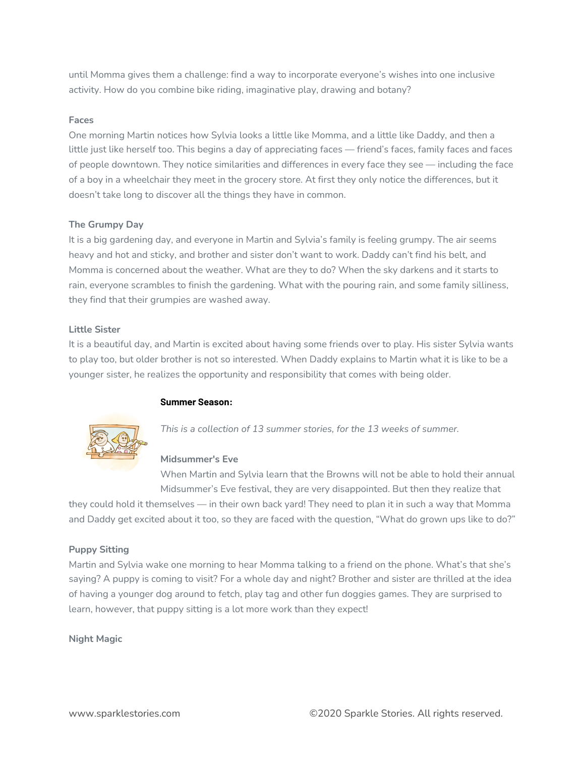until Momma gives them a challenge: find a way to incorporate everyone's wishes into one inclusive activity. How do you combine bike riding, imaginative play, drawing and botany?

# **Faces**

One morning Martin notices how Sylvia looks a little like Momma, and a little like Daddy, and then a little just like herself too. This begins a day of appreciating faces — friend's faces, family faces and faces of people downtown. They notice similarities and differences in every face they see — including the face of a boy in a wheelchair they meet in the grocery store. At first they only notice the differences, but it doesn't take long to discover all the things they have in common.

# **The Grumpy Day**

It is a big gardening day, and everyone in Martin and Sylvia's family is feeling grumpy. The air seems heavy and hot and sticky, and brother and sister don't want to work. Daddy can't find his belt, and Momma is concerned about the weather. What are they to do? When the sky darkens and it starts to rain, everyone scrambles to finish the gardening. What with the pouring rain, and some family silliness, they find that their grumpies are washed away.

# **Little Sister**

It is a beautiful day, and Martin is excited about having some friends over to play. His sister Sylvia wants to play too, but older brother is not so interested. When Daddy explains to Martin what it is like to be a younger sister, he realizes the opportunity and responsibility that comes with being older.

## **Summer Season:**



*This is a collection of 13 summer stories, for the 13 weeks of summer.*

## **Midsummer's Eve**

When Martin and Sylvia learn that the Browns will not be able to hold their annual Midsummer's Eve festival, they are very disappointed. But then they realize that

they could hold it themselves — in their own back yard! They need to plan it in such a way that Momma and Daddy get excited about it too, so they are faced with the question, "What do grown ups like to do?"

# **Puppy Sitting**

Martin and Sylvia wake one morning to hear Momma talking to a friend on the phone. What's that she's saying? A puppy is coming to visit? For a whole day and night? Brother and sister are thrilled at the idea of having a younger dog around to fetch, play tag and other fun doggies games. They are surprised to learn, however, that puppy sitting is a lot more work than they expect!

# **Night Magic**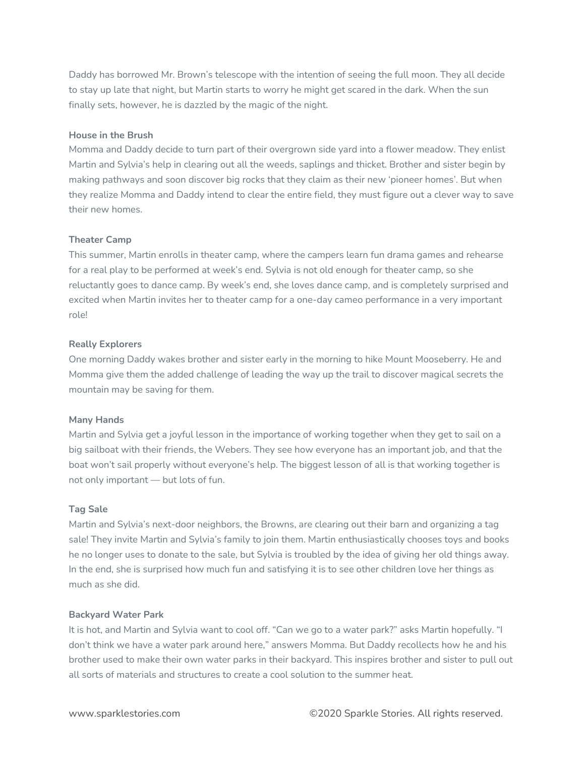Daddy has borrowed Mr. Brown's telescope with the intention of seeing the full moon. They all decide to stay up late that night, but Martin starts to worry he might get scared in the dark. When the sun finally sets, however, he is dazzled by the magic of the night.

# **House in the Brush**

Momma and Daddy decide to turn part of their overgrown side yard into a flower meadow. They enlist Martin and Sylvia's help in clearing out all the weeds, saplings and thicket. Brother and sister begin by making pathways and soon discover big rocks that they claim as their new 'pioneer homes'. But when they realize Momma and Daddy intend to clear the entire field, they must figure out a clever way to save their new homes.

# **Theater Camp**

This summer, Martin enrolls in theater camp, where the campers learn fun drama games and rehearse for a real play to be performed at week's end. Sylvia is not old enough for theater camp, so she reluctantly goes to dance camp. By week's end, she loves dance camp, and is completely surprised and excited when Martin invites her to theater camp for a one-day cameo performance in a very important role!

# **Really Explorers**

One morning Daddy wakes brother and sister early in the morning to hike Mount Mooseberry. He and Momma give them the added challenge of leading the way up the trail to discover magical secrets the mountain may be saving for them.

## **Many Hands**

Martin and Sylvia get a joyful lesson in the importance of working together when they get to sail on a big sailboat with their friends, the Webers. They see how everyone has an important job, and that the boat won't sail properly without everyone's help. The biggest lesson of all is that working together is not only important — but lots of fun.

## **Tag Sale**

Martin and Sylvia's next-door neighbors, the Browns, are clearing out their barn and organizing a tag sale! They invite Martin and Sylvia's family to join them. Martin enthusiastically chooses toys and books he no longer uses to donate to the sale, but Sylvia is troubled by the idea of giving her old things away. In the end, she is surprised how much fun and satisfying it is to see other children love her things as much as she did.

## **Backyard Water Park**

It is hot, and Martin and Sylvia want to cool off. "Can we go to a water park?" asks Martin hopefully. "I don't think we have a water park around here," answers Momma. But Daddy recollects how he and his brother used to make their own water parks in their backyard. This inspires brother and sister to pull out all sorts of materials and structures to create a cool solution to the summer heat.